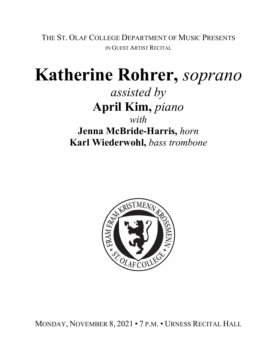THE ST. OLAF COLLEGE DEPARTMENT OF MUSIC PRESENTS IN GUEST ARTIST RECITAL

# **Katherine Rohrer,** *soprano*

*assisted by* **April Kim,** *piano with* **Jenna McBride-Harris,** *horn*

**Karl Wiederwohl,** *bass trombone*



MONDAY, NOVEMBER 8, 2021 • 7 P.M. • URNESS RECITAL HALL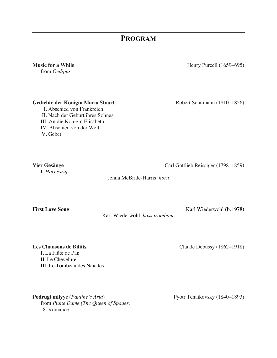## **PROGRAM**

from *Oedipus*

### Gedichte der Königin Maria Stuart<br>
Robert Schumann (1810–1856)

I. Abschied von Frankreich II. Nach der Geburt ihres Sohnes III. An die Königin Elisabeth IV. Abschied von der Welt V. Gebet

I. *Hornesruf*

**Music for a While** Henry Purcell (1659–695)

**Vier Gesänge** Carl Gottlieb Reissiger (1798–1859)

Jenna McBride-Harris, *horn*

**First Love Song** Karl Wiederwohl (b. 1978)

Karl Wiederwohl, *bass trombone*

**Les Chansons de Bilitis** Claude Debussy (1862–1918)

I. La Flûte de Pan II. Le Chevelure III. Le Tombeau des Naïades

Podrugi milyye (*Pauline's Aria*) **Pyotr Tchaikovsky (1840–1893)** from *Pique Dame (The Queen of Spades)* 8. Romance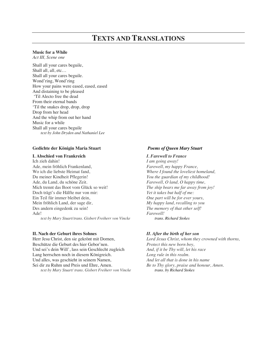## **TEXTS AND TRANSLATIONS**

#### **Music for a While**

*Act III, Scene one*

Shall all your cares beguile, Shall all, all, etc… Shall all your cares beguile. Wond'ring, Wond'ring How your pains were eased, eased, eased And distaining to be pleased 'Til Alecto free the dead From their eternal bands 'Til the snakes drop, drop, drop Drop from her head And the whip from out her hand Music for a while Shall all your cares beguile *text by John Dryden and Nathaniel Lee*

#### **Gedichte der Königin Maria Stuart**

#### **I. Abschied von Frankreich**

Ich zieh dahin! Ade, mein fröhlich Frankenland, Wo ich die liebste Heimat fand, Du meiner Kindheit Pflegerin! Ade, du Land, du schöne Zeit. Mich trennt das Boot vom Glück so weit! Doch trägt's die Hälfte nur von mir: Ein Teil für immer bleibet dein, Mein fröhlich Land, der sage dir, Des andern eingedenk zu sein! Ade!

*text by Mary Stuart/trans. Gisbert Freiherr von Vincke*

#### **II. Nach der Geburt ihres Sohnes**

Herr Jesu Christ, den sie gekrönt mit Dornen, Beschütze die Geburt des hier Gebor'nen. Und sei's dein Will', lass sein Geschlecht zugleich Lang herrschen noch in diesem Königreich. Und alles, was geschieht in seinem Namen, Sei dir zu Ruhm und Preis und Ehre, Amen. *text by Mary Stuart/ trans. Gisbert Freiherr von Vincke*

#### *Poems of Queen Mary Stuart*

#### *I. Farewell to France*

*I am going away! Farewell, my happy France, Where I found the loveliest homeland, You the guardian of my childhood! Farewell, O land, O happy time, The ship bears me far away from joy! Yet it takes but half of me: One part will be for ever yours, My happy land, recalling to you The memory of that other self! Farewell! trans. Richard Stokes*

#### *II. After the birth of her son*

*Lord Jesus Christ, whom they crowned with thorns, Protect this new born boy, And, if it be Thy will, let his race Long rule in this realm. And let all that is done in his name Be to Thy glory, praise and honour, Amen. trans. by Richard Stokes*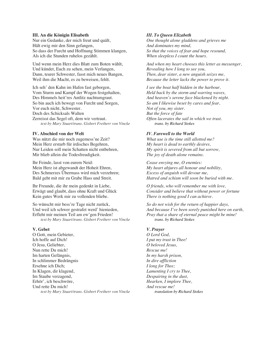#### **III. An die Königin Elisabeth**

Nur ein Gedanke, der mich freut und quält, Hält ewig mir den Sinn gefangen, So dass der Furcht und Hoffnung Stimmen klangen, Als ich die Stunden ruhelos gezählt.

Und wenn mein Herz dies Blatt zum Boten wählt, Und kündet, Euch zu sehen, mein Verlangen, Dann, teurer Schwester, fasst mich neues Bangen, Weil ihm die Macht, es zu beweisen, fehlt.

Ich seh' den Kahn im Hafen fast geborgen, Vom Sturm und Kampf der Wogen festgehalten, Des Himmels heit'res Antlitz nachtumgraut. So bin auch ich bewegt von Furcht und Sorgen, Vor euch nicht, Schwester. Doch des Schicksals Walten Zerreisst das Segel oft, dem wir vertraut. *text by Mary Stuart/trans. Gisbert Freiherr von Vincke*

#### **IV. Abschied von der Welt**

Was nützt die mir noch zugemess'ne Zeit? Mein Herz erstarb für irdisches Begehren, Nur Leiden soll mein Schatten nicht entbehren, Mir blieb allein die Todesfreudigkeit.

Ihr Feinde, lasst von eurem Neid: Mein Herz ist abgewandt der Hoheit Ehren, Des Schmerzes Übermass wird mich verzehren; Bald geht mit mir zu Grabe Hass und Streit.

Ihr Freunde, die ihr mein gedenkt in Liebe, Erwägt und glaubt, dass ohne Kraft und Glück Kein gutes Werk mir zu vollenden bliebe.

So wünscht mir bess're Tage nicht zurück, Und weil ich schwer gestrafet werd' hienieden, Erfleht mir meinen Teil am ew'gen Frieden! *text by Mary Stuart/trans. Gisbert Freiherr von Vincke*

#### **V. Gebet**

O Gott, mein Gebieter, Ich hoffe auf Dich! O Jesu, Geliebter, Nun rette Du mich! Im harten Gefängnis, In schlimmer Bedrängnis Ersehne ich Dich; In Klagen, dir klagend, Im Staube verzagend, Erhör', ich beschwöre, Und rette Du mich! *text by Mary Stuart/trans. Gisbert Freiherr von Vincke*

#### *III. To Queen Elizabeth*

*One thought alone gladdens and grieves me And dominates my mind, So that the voices of fear and hope resound, When sleepless I count the hours.*

*And when my heart chooses this letter as messenger, Revealing how I long to see you, Then, dear sister, a new anguish seizes me, Because the letter lacks the power to prove it.*

*I see the boat half hidden in the harbour, Held back by the storm and warring waves, And heaven's serene face blackened by night. So am I likewise beset by cares and fear, Not of you, my sister. But the force of fate Often lacerates the sail in which we trust. trans. by Richard Stokes*

#### *IV. Farewell to the World*

*What use is the time still allotted me? My heart is dead to earthly desires, My spirit is severed from all but sorrow, The joy of death alone remains.*

*Cease envying me, O enemies: My heart abjures all honour and nobility, Excess of anguish will devour me, Hatred and schism will soon be buried with me.*

*O friends, who will remember me with love, Consider and believe that without power or fortune There is nothing good I can achieve.*

*So do not wish for the return of happier days, And because I've been sorely punished here on earth, Pray that a share of eternal peace might be mine! trans. by Richard Stokes*

#### *V. Prayer*

*O Lord God, I put my trust in Thee! O beloved Jesus, Rescue me! In my harsh prison, In dire affliction I long for Thee; Lamenting I cry to Thee, Despairing in the dust, Hearken, I implore Thee, And rescue me! translation by Richard Stokes*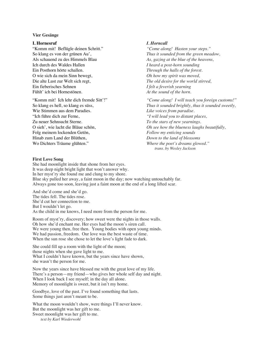#### **Vier Gesänge**

#### **I. Hornesruf**

"Komm mit! Beflügle deinen Schritt." So klang es von der grünen Au', Als schauend zu des Himmels Blau Ich durch des Waldes Hallen Ein Posthorn hörte schallen. O wie sich da mein Sinn bewegt, Die alte Lust zur Welt sich regt, Ein fieberisches Sehnen Fühlt' ich bei Hornestönen.

"Komm mit! Ich lehr dich fremde Sitt'!" So klang es hell, so klang es süss, Wie Stimmen aus dem Paradies. "Ich führe dich zur Ferne, Zu neuer Sehnsucht Sterne. O sieh', wie lacht die Bläue schön, Folg meinem lockenden Getön, Hinab zum Land der Blüthen, Wo Dichters Träume glühten."

#### *I. Horncall*

*"Come along! Hasten your steps." Thus it sounded from the green meadow, As, gazing at the blue of the heavens, I heard a post-horn sounding Through the halls of the forest. Oh how my spirit was moved, The old desire for the world stirred, I felt a feverish yearning At the sound of the horn.* 

*"Come along! I will teach you foreign customs!" Thus it sounded brightly, thus it sounded sweetly, Like voices from paradise. "I will lead you to distant places, To the stars of new yearnings. Oh see how the blueness laughs beautifully, Follow my enticing sounds Down to the land of blossoms Where the poet's dreams glowed." trans. by Wesley Jackson*

#### **First Love Song**

She had moonlight inside that shone from her eyes. It was deep night bright light that won't answer why. In her myst'ry she found me and clung to my shore. Blue sky pulled her away, a faint moon in the day; now watching untouchably far. Always gone too soon, leaving just a faint moon at the end of a long lifted scar.

And she'd come and she'd go. The tides fell. The tides rose. She'd cut her connection to me. But I wouldn't let go. As the child in me knows, I need more from the person for me.

Room of myst'ry, discovery; how sweet were the nights in those walls. Oh how she'd enchant me. Her eyes had the moon's siren call. We were young then, free then. Young bodies with open young minds. We had passion, freedom. Our love was the best waste of time. When the sun rose she chose to let the love's light fade to dark.

She could fill up a room with the light of the moon; those nights when she gave light to me. What I couldn't have known, but the years since have shown, she wasn't the person for me.

Now the years since have blessed me with the great love of my life. There's a person—my friend—who gives her whole self day and night. When I look back I see myself; in the day all alone. Memory of moonlight is sweet, but it isn't my home.

Goodbye, love of the past. I've found something that lasts. Some things just aren't meant to be.

What the moon wouldn't show, were things I'll never know. But the moonlight was her gift to me. Sweet moonlight was her gift to me. *text by Karl Wiederwohl*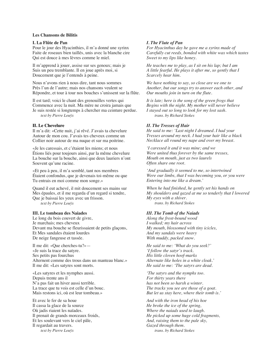#### **Les Chansons de Bilitis**

#### **I. La Flûte de Pan**

Pour le jour des Hyacinthies, il m'a donné une syrinx Faite de roseaux bien taillés, unis avec la blanche cire Qui est douce à mes lèvres comme le miel.

Il m'apprend à jouer, assise sur ses genoux; mais je Suis un peu tremblante. Il en joue après moi, si Doucement que je l'entends à peine.

Nous n'avons rien à nous dire, tant nous sommes Près l'un de l'autre; mais nos chansons veulent se Répondre, et tour à tour nos bouches s'unissent sur la flûte.

Il est tard; voici le chant des grenouilles vertes qui Commence avec la nuit. Ma mère ne croira jamais que Je suis restée si longtemps à chercher ma ceinture perdue. *text by Pierre Louÿs*

#### **II. Le Chevelure**

Il m'a dit: «Cette nuit, j'ai rêvé. J'avais ta chevelure Autour de mon cou. J'avais tes cheveux comme un Collier noir autour de ma nuque et sur ma poitrine.

«Je les caressais, et c'étaient les miens; et nous Étions liés pour toujours ainsi, par la même chevelure La bouche sur la bouche, ainsi que deux lauriers n'ont Souvent qu'une racine.

«Et peu à peu, il m'a semblé, tant nos membres Étaient confondus, que je devenais toi-même ou que Tu entrais en moi comme mon songe.»

Quand il eut achevé, il mit doucement ses mains sur Mes épaules, et il me regarda d'un regard si tendre, Que je baissai les yeux avec un frisson. *text by Pierre Louÿs*

#### **III. Le tombeau des Naiades**

Le long du bois couvert de givre, Je marchais; mes cheveux Devant ma bouche se fleurissaient de petits glaçons, Et Mes sandales étaient lourdes De neige fangeuse et tassée.

Il me dit: «Que cherches-tu?»— «Je suis la trace du satyre. Ses petits pas fourchus Alternent comme des trous dans un manteau blanc.» Il me dit: «Les satyres sont morts.

«Les satyres et les nymphes aussi. Depuis trente ans il N'a pas fait un hiver aussi terrible. La trace que tu vois est celle d'un bouc. Mais restons ici, où est leur tombeau.»

Et avec le fer de sa houe Il cassa la glace de la source Où jadis riaient les naïades. Il prenait de grands morceaux froids, Et les soulevant vers le ciel pâle, Il regardait au travers. *text by Pierre Louÿs*

#### *I. The Flute of Pan*

*For Hyacinthus day he gave me a syrinx made of Carefully cut reeds, bonded with white wax which tastes Sweet to my lips like honey.*

*He teaches me to play, as I sit on his lap; but I am A little fearful. He plays it after me, so gently that I Scarcely hear him.*

*We have nothing to say, so close are we one to Another, but our songs try to answer each other, and Our mouths join in turn on the flute.*

*It is late; here is the song of the green frogs that Begins with the night. My mother will never believe I stayed out so long to look for my lost sash. trans. by Richard Stokes*

#### *II. The Tresses of Hair*

*He said to me: 'Last night I dreamed. I had your Tresses around my neck. I had your hair like a black Necklace all round my nape and over my breast.*

*'I caressed it and it was mine; and we Were united thus forever by the same tresses, Mouth on mouth, just as two laurels Often share one root.*

*'And gradually it seemed to me, so intertwined Were our limbs, that I was becoming you, or you were Entering into me like a dream.'*

*When he had finished, he gently set his hands on My shoulders and gazed at me so tenderly that I lowered My eyes with a shiver. trans. by Richard Stokes*

#### *III. The Tomb of the Naiads*

*Along the frost-bound wood I walked; my hair across My mouth, blossomed with tiny icicles, And my sandals were heavy With muddy, packed snow.*

*He said to me: 'What do you seek?' 'I follow the satyr's track. His little cloven hoof-marks Alternate like holes in a white cloak.' He said to me: 'The satyrs are dead.*

*'The satyrs and the nymphs too. For thirty years there has not been so harsh a winter. The tracks you see are those of a goat. But let us stay here, where their tomb is.'*

*And with the iron head of his hoe He broke the ice of the spring, Where the naiads used to laugh. He picked up some huge cold fragments, And, raising them to the pale sky, Gazed through them. trans. by Richard Stokes*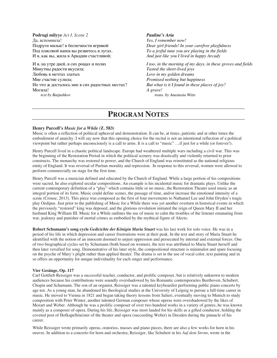**Podrugi milyye** *Act I, Scene 2* Да, вспомнила! Подруги милые! в беспечности игривой Под плясовой напев вы резвитесь в лугах. И я, как вы, жила в Аркадии счастливой;

И я, на утре дней, в сих рощах и полях Минутны радости вкусила: Любовь в мечтах златых Mне счастие сулила; Но что ж досталось мне в сих радостных местах? Могила! *text by Batjushkov*

#### *Pauline's Aria*

*Yes, I remember now! Dear girl-friends! In your carefree playfulness To a joyful tune you are playing in the fields And just like you I lived in happy Arcady*

*I too, in the morning of my days, in these groves and fields Tasted the short-lived joys Love in my golden dreams Promised nothing but happiness But what is it I found in these places of joy? A grave! trans. by Anastasia Witts*

## **PROGRAM NOTES**

#### **Henry Purcell's** *Music for a While (***Z. 583)**

Music is often a reflection of political upheaval and demonstration. It can be, at times, patriotic and at other times the embodiment of anarchy. I will say now that this opening choice for the recital is not an intentional reflection of a political viewpoint but rather perhaps unconsciously is a call to arms. It is a call to "music" …if just for a while (or forever!).

Henry Purcell lived in a chaotic political landscape. Europe had weathered multiple wars including a civil war. This was the beginning of the Restoration Period in which the political scenery was drastically and violently returned to prior constructs. The monarchy was restored to power, and the Church of England was reinstituted as the national religious entity of England. It was reversal of Puritan morality and repression. In response to this reversal, women were allowed to perform commercially on stage for the first time.

Henry Purcell was a musician defined and educated by the Church of England. While a large portion of his compositions were sacred, he also explored secular compositions. An example is his incidental music for dramatic plays. Unlike the current contemporary definition of a "play" which contains little or no music, the Restoration Theater used music as an integral portion of its form. Music could define scenes, the passage of time, and/or increase the emotional intensity of a scene (Crouse, 2013). This piece was composed as the first of four movements to Nathaniel Lee and John Dryden's tragic play Oedipus. Just prior to the publishing of Music for a While there was yet another overturn in historical events in which the previously "restored" king was deposed, and the glorious revolution initiated the reign of Queen Mary II and her husband King William III. Music for a While outlines the use of music to calm the troubles of the listener emanating from war, jealousy and punisher of mortal crimes as embodied by the mythical figure of Alecto.

**Robert Schumann's song cycle** *Gedictchte der Königin Maria Stuart* was his last work for solo voice. He was in a period of his life in which depression and career frustrations were at their peak. In the text and story of Maria Stuart he identified with the notion of an innocent doomed to unjust oppression and persecuted by internal and external forces. One of two biographical cycles set by Schumann (both based on women), the text was attributed to Maria Stuart herself and then later versified for song. Demonstrative of his later style, the compositional structure is minimalist and spare focusing on the psyche of Mary's plight rather than applied theater. The drama is set in the use of vocal color, text painting and in so offers an opportunity for unique individuality for each singer and performance.

#### **Vier Gesänge, Op. 117**

Carl Gottlieb Reissiger was a successful teacher, conductor, and prolific composer, but is relatively unknown to modern audiences because his contributions were soundly overshadowed by his Romantic contemporaries Beethoven, Schubert, Chopin and Schumann. The son of an organist, Reissiger was a talented keyboardist performing public piano concerts by age ten. As a young man, he abandoned his theological studies at the University of Leipzig to pursue a full-time career in music. He moved to Vienna in 1821 and began taking theory lessons from Salieri, eventually moving to Munich to study composition with Peter Winter, another talented German composer whose operas were overshadowed by the likes of Mozart and Weber. Although he was a prolific composer of over two hundred works in a variety of genres, he was known mainly as a composer of opera. During his life, Reissiger was most lauded for his skills as a gifted conductor, holding the coveted post of Hofkapellmeister of the theater and opera (succeeding Weber) in Dresden during the pinnacle of his career.

While Reissiger wrote primarily operas, oratorios, masses and piano pieces, there are also a few works for horn in his oeuvre. In addition to a concerto for horn and orchestra, Reissiger, like Schubert in his *Auf dem Strom*, wrote in the